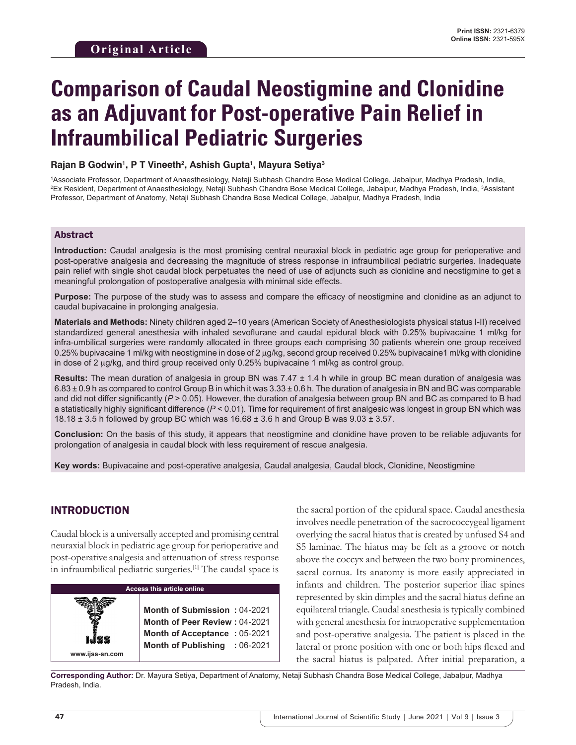# **Comparison of Caudal Neostigmine and Clonidine as an Adjuvant for Post-operative Pain Relief in Infraumbilical Pediatric Surgeries**

#### **Rajan B Godwin1 , P T Vineeth2 , Ashish Gupta1 , Mayura Setiya3**

1 Associate Professor, Department of Anaesthesiology, Netaji Subhash Chandra Bose Medical College, Jabalpur, Madhya Pradesh, India, 2 Ex Resident, Department of Anaesthesiology, Netaji Subhash Chandra Bose Medical College, Jabalpur, Madhya Pradesh, India, 3 Assistant Professor, Department of Anatomy, Netaji Subhash Chandra Bose Medical College, Jabalpur, Madhya Pradesh, India

#### Abstract

**Introduction:** Caudal analgesia is the most promising central neuraxial block in pediatric age group for perioperative and post-operative analgesia and decreasing the magnitude of stress response in infraumbilical pediatric surgeries. Inadequate pain relief with single shot caudal block perpetuates the need of use of adjuncts such as clonidine and neostigmine to get a meaningful prolongation of postoperative analgesia with minimal side effects.

**Purpose:** The purpose of the study was to assess and compare the efficacy of neostigmine and clonidine as an adjunct to caudal bupivacaine in prolonging analgesia.

**Materials and Methods:** Ninety children aged 2–10 years (American Society of Anesthesiologists physical status I-II) received standardized general anesthesia with inhaled sevoflurane and caudal epidural block with 0.25% bupivacaine 1 ml/kg for infra-umbilical surgeries were randomly allocated in three groups each comprising 30 patients wherein one group received 0.25% bupivacaine 1 ml/kg with neostigmine in dose of 2 µg/kg, second group received 0.25% bupivacaine1 ml/kg with clonidine in dose of 2 µg/kg, and third group received only 0.25% bupivacaine 1 ml/kg as control group.

**Results:** The mean duration of analgesia in group BN was 7.47 ± 1.4 h while in group BC mean duration of analgesia was 6.83 ± 0.9 h as compared to control Group B in which it was 3.33 ± 0.6 h. The duration of analgesia in BN and BC was comparable and did not differ significantly ( $P > 0.05$ ). However, the duration of analgesia between group BN and BC as compared to B had a statistically highly significant difference (*P* < 0.01). Time for requirement of first analgesic was longest in group BN which was 18.18  $\pm$  3.5 h followed by group BC which was 16.68  $\pm$  3.6 h and Group B was 9.03  $\pm$  3.57.

**Conclusion:** On the basis of this study, it appears that neostigmine and clonidine have proven to be reliable adjuvants for prolongation of analgesia in caudal block with less requirement of rescue analgesia.

**Key words:** Bupivacaine and post-operative analgesia, Caudal analgesia, Caudal block, Clonidine, Neostigmine

## INTRODUCTION

Caudal block is a universally accepted and promising central neuraxial block in pediatric age group for perioperative and post-operative analgesia and attenuation of stress response in infraumbilical pediatric surgeries.[1] The caudal space is



the sacral portion of the epidural space. Caudal anesthesia involves needle penetration of the sacrococcygeal ligament overlying the sacral hiatus that is created by unfused S4 and S5 laminae. The hiatus may be felt as a groove or notch above the coccyx and between the two bony prominences, sacral cornua. Its anatomy is more easily appreciated in infants and children. The posterior superior iliac spines represented by skin dimples and the sacral hiatus define an equilateral triangle. Caudal anesthesia is typically combined with general anesthesia for intraoperative supplementation and post-operative analgesia. The patient is placed in the lateral or prone position with one or both hips flexed and the sacral hiatus is palpated. After initial preparation, a

**Corresponding Author:** Dr. Mayura Setiya, Department of Anatomy, Netaji Subhash Chandra Bose Medical College, Jabalpur, Madhya Pradesh, India.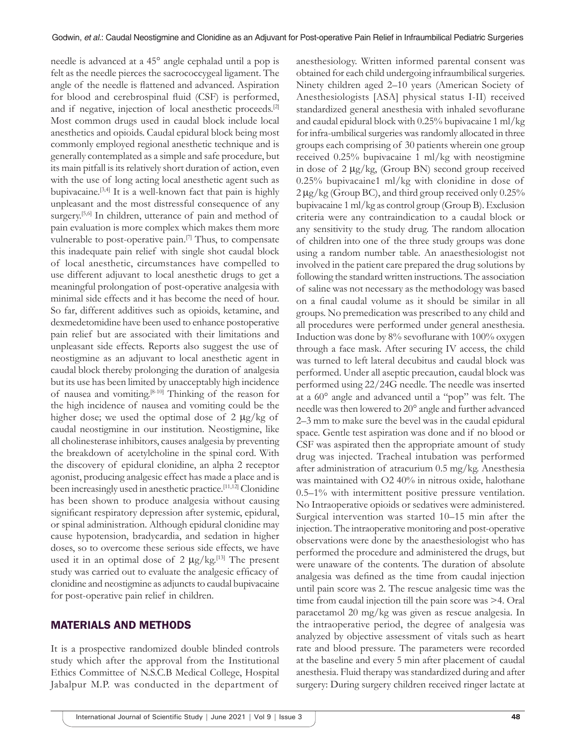needle is advanced at a 45° angle cephalad until a pop is felt as the needle pierces the sacrococcygeal ligament. The angle of the needle is flattened and advanced. Aspiration for blood and cerebrospinal fluid (CSF) is performed, and if negative, injection of local anesthetic proceeds.<sup>[2]</sup> Most common drugs used in caudal block include local anesthetics and opioids. Caudal epidural block being most commonly employed regional anesthetic technique and is generally contemplated as a simple and safe procedure, but its main pitfall is its relatively short duration of action, even with the use of long acting local anesthetic agent such as bupivacaine.[3,4] It is a well-known fact that pain is highly unpleasant and the most distressful consequence of any surgery.<sup>[5,6]</sup> In children, utterance of pain and method of pain evaluation is more complex which makes them more vulnerable to post-operative pain.<sup>[7]</sup> Thus, to compensate this inadequate pain relief with single shot caudal block of local anesthetic, circumstances have compelled to use different adjuvant to local anesthetic drugs to get a meaningful prolongation of post-operative analgesia with minimal side effects and it has become the need of hour. So far, different additives such as opioids, ketamine, and dexmedetomidine have been used to enhance postoperative pain relief but are associated with their limitations and unpleasant side effects. Reports also suggest the use of neostigmine as an adjuvant to local anesthetic agent in caudal block thereby prolonging the duration of analgesia but its use has been limited by unacceptably high incidence of nausea and vomiting.[8-10] Thinking of the reason for the high incidence of nausea and vomiting could be the higher dose; we used the optimal dose of  $2 \mu g/kg$  of caudal neostigmine in our institution. Neostigmine, like all cholinesterase inhibitors, causes analgesia by preventing the breakdown of acetylcholine in the spinal cord. With the discovery of epidural clonidine, an alpha 2 receptor agonist, producing analgesic effect has made a place and is been increasingly used in anesthetic practice.<sup>[11,12]</sup> Clonidine has been shown to produce analgesia without causing significant respiratory depression after systemic, epidural, or spinal administration. Although epidural clonidine may cause hypotension, bradycardia, and sedation in higher doses, so to overcome these serious side effects, we have used it in an optimal dose of 2  $\mu$ g/kg.<sup>[13]</sup> The present study was carried out to evaluate the analgesic efficacy of clonidine and neostigmine as adjuncts to caudal bupivacaine for post-operative pain relief in children.

### MATERIALS AND METHODS

It is a prospective randomized double blinded controls study which after the approval from the Institutional Ethics Committee of N.S.C.B Medical College, Hospital Jabalpur M.P. was conducted in the department of anesthesiology. Written informed parental consent was obtained for each child undergoing infraumbilical surgeries. Ninety children aged 2–10 years (American Society of Anesthesiologists [ASA] physical status I‑II) received standardized general anesthesia with inhaled sevoflurane and caudal epidural block with 0.25% bupivacaine 1 ml/kg for infra-umbilical surgeries was randomly allocated in three groups each comprising of 30 patients wherein one group received 0.25% bupivacaine 1 ml/kg with neostigmine in dose of 2 µg/kg, (Group BN) second group received 0.25% bupivacaine1 ml/kg with clonidine in dose of  $2 \mu g/kg$  (Group BC), and third group received only 0.25% bupivacaine 1 ml/kg as control group (Group B). Exclusion criteria were any contraindication to a caudal block or any sensitivity to the study drug. The random allocation of children into one of the three study groups was done using a random number table. An anaesthesiologist not involved in the patient care prepared the drug solutions by following the standard written instructions. The association of saline was not necessary as the methodology was based on a final caudal volume as it should be similar in all groups. No premedication was prescribed to any child and all procedures were performed under general anesthesia. Induction was done by 8% sevoflurane with 100% oxygen through a face mask. After securing IV access, the child was turned to left lateral decubitus and caudal block was performed. Under all aseptic precaution, caudal block was performed using 22/24G needle. The needle was inserted at a 60° angle and advanced until a "pop" was felt. The needle was then lowered to 20° angle and further advanced 2–3 mm to make sure the bevel was in the caudal epidural space. Gentle test aspiration was done and if no blood or CSF was aspirated then the appropriate amount of study drug was injected. Tracheal intubation was performed after administration of atracurium 0.5 mg/kg. Anesthesia was maintained with O2 40% in nitrous oxide, halothane 0.5–1% with intermittent positive pressure ventilation. No Intraoperative opioids or sedatives were administered. Surgical intervention was started 10–15 min after the injection. The intraoperative monitoring and post-operative observations were done by the anaesthesiologist who has performed the procedure and administered the drugs, but were unaware of the contents. The duration of absolute analgesia was defined as the time from caudal injection until pain score was 2. The rescue analgesic time was the time from caudal injection till the pain score was >4. Oral paracetamol 20 mg/kg was given as rescue analgesia. In the intraoperative period, the degree of analgesia was analyzed by objective assessment of vitals such as heart rate and blood pressure. The parameters were recorded at the baseline and every 5 min after placement of caudal anesthesia. Fluid therapy was standardized during and after surgery: During surgery children received ringer lactate at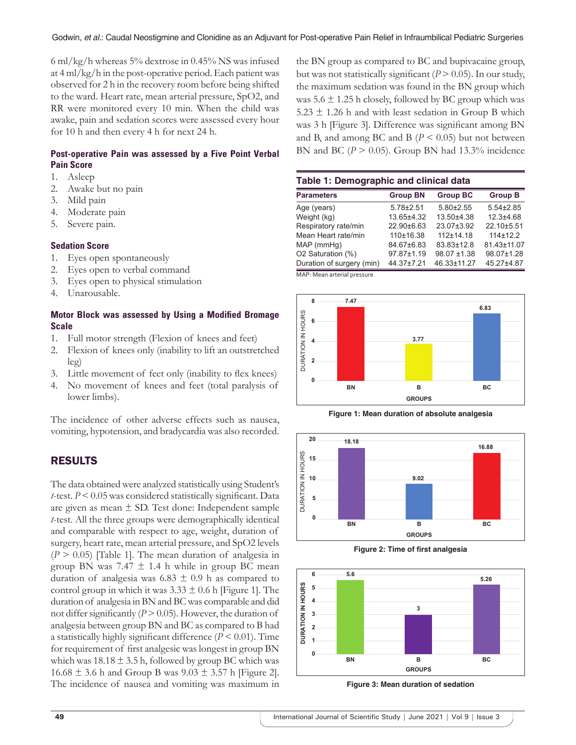6 ml/kg/h whereas 5% dextrose in 0.45% NS was infused at 4 ml/kg/h in the post-operative period. Each patient was observed for 2 h in the recovery room before being shifted to the ward. Heart rate, mean arterial pressure, SpO2, and RR were monitored every 10 min. When the child was awake, pain and sedation scores were assessed every hour for 10 h and then every 4 h for next 24 h.

#### **Post-operative Pain was assessed by a Five Point Verbal Pain Score**

- 1. Asleep
- 2. Awake but no pain
- 3. Mild pain
- 4. Moderate pain
- 5. Severe pain.

#### **Sedation Score**

- 1. Eyes open spontaneously
- 2. Eyes open to verbal command
- 3. Eyes open to physical stimulation
- 4. Unarousable.

#### **Motor Block was assessed by Using a Modified Bromage Scale**

- 1. Full motor strength (Flexion of knees and feet)
- 2. Flexion of knees only (inability to lift an outstretched leg)
- 3. Little movement of feet only (inability to flex knees)
- 4. No movement of knees and feet (total paralysis of lower limbs).

The incidence of other adverse effects such as nausea, vomiting, hypotension, and bradycardia was also recorded.

# RESULTS

The data obtained were analyzed statistically using Student's *t*-test. *P* < 0.05 was considered statistically significant. Data are given as mean ± SD. Test done: Independent sample *t*-test. All the three groups were demographically identical and comparable with respect to age, weight, duration of surgery, heart rate, mean arterial pressure, and SpO2 levels  $(P > 0.05)$  [Table 1]. The mean duration of analgesia in group BN was  $7.47 \pm 1.4$  h while in group BC mean duration of analgesia was  $6.83 \pm 0.9$  h as compared to control group in which it was  $3.33 \pm 0.6$  h [Figure 1]. The duration of analgesia in BN and BC was comparable and did not differ significantly  $(P > 0.05)$ . However, the duration of analgesia between group BN and BC as compared to B had a statistically highly significant difference (*P* < 0.01). Time for requirement of first analgesic was longest in group BN which was  $18.18 \pm 3.5$  h, followed by group BC which was 16.68  $\pm$  3.6 h and Group B was  $9.03 \pm 3.57$  h [Figure 2]. The incidence of nausea and vomiting was maximum in the BN group as compared to BC and bupivacaine group, but was not statistically significant  $(P > 0.05)$ . In our study, the maximum sedation was found in the BN group which was  $5.6 \pm 1.25$  h closely, followed by BC group which was 5.23 ± 1.26 h and with least sedation in Group B which was 3 h [Figure 3]. Difference was significant among BN and B, and among BC and B ( $P < 0.05$ ) but not between BN and BC ( $P > 0.05$ ). Group BN had 13.3% incidence

| Table 1: Demographic and clinical data |                 |                  |                 |
|----------------------------------------|-----------------|------------------|-----------------|
| <b>Parameters</b>                      | <b>Group BN</b> | <b>Group BC</b>  | <b>Group B</b>  |
| Age (years)                            | $5.78 + 2.51$   | $5.80 \pm 2.55$  | $5.54 \pm 2.85$ |
| Weight (kg)                            | 13.65±4.32      | 13.50±4.38       | $12.3 + 4.68$   |
| Respiratory rate/min                   | $22.90\pm 6.63$ | 23.07±3.92       | 22.10±5.51      |
| Mean Heart rate/min                    | 110±16.38       | $112+14.18$      | $114 \pm 12.2$  |
| MAP (mmHg)                             | 84.67±6.83      | 83.83±12.8       | 81.43±11.07     |
| O2 Saturation (%)                      | 97.87±1.19      | $98.07 \pm 1.38$ | 98.07±1.28      |
| Duration of surgery (min)              | 44.37±7.21      | 46.33±11.27      | 45.27±4.87      |

MAP: Mean arterial pressure







**Figure 2: Time of first analgesia**



**Figure 3: Mean duration of sedation**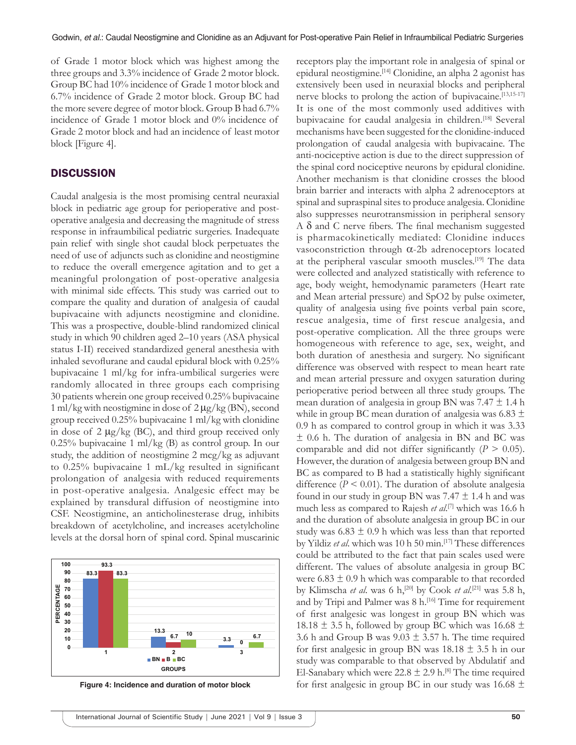of Grade 1 motor block which was highest among the three groups and 3.3% incidence of Grade 2 motor block. Group BC had 10% incidence of Grade 1 motor block and 6.7% incidence of Grade 2 motor block. Group BC had the more severe degree of motor block. Group B had 6.7% incidence of Grade 1 motor block and 0% incidence of Grade 2 motor block and had an incidence of least motor block [Figure 4].

#### **DISCUSSION**

Caudal analgesia is the most promising central neuraxial block in pediatric age group for perioperative and postoperative analgesia and decreasing the magnitude of stress response in infraumbilical pediatric surgeries. Inadequate pain relief with single shot caudal block perpetuates the need of use of adjuncts such as clonidine and neostigmine to reduce the overall emergence agitation and to get a meaningful prolongation of post-operative analgesia with minimal side effects. This study was carried out to compare the quality and duration of analgesia of caudal bupivacaine with adjuncts neostigmine and clonidine. This was a prospective, double-blind randomized clinical study in which 90 children aged 2–10 years (ASA physical status I‑II) received standardized general anesthesia with inhaled sevoflurane and caudal epidural block with 0.25% bupivacaine 1 ml/kg for infra-umbilical surgeries were randomly allocated in three groups each comprising 30 patients wherein one group received 0.25% bupivacaine 1 ml/kg with neostigmine in dose of 2 µg/kg (BN), second group received 0.25% bupivacaine 1 ml/kg with clonidine in dose of  $2 \mu g/kg$  (BC), and third group received only 0.25% bupivacaine 1 ml/kg (B) as control group. In our study, the addition of neostigmine 2 mcg/kg as adjuvant to 0.25% bupivacaine 1 mL/kg resulted in significant prolongation of analgesia with reduced requirements in post-operative analgesia. Analgesic effect may be explained by transdural diffusion of neostigmine into CSF. Neostigmine, an anticholinesterase drug, inhibits breakdown of acetylcholine, and increases acetylcholine levels at the dorsal horn of spinal cord. Spinal muscarinic



**Figure 4: Incidence and duration of motor block**

epidural neostigmine.[14] Clonidine, an alpha 2 agonist has extensively been used in neuraxial blocks and peripheral nerve blocks to prolong the action of bupivacaine.<sup>[13,15-17]</sup> It is one of the most commonly used additives with bupivacaine for caudal analgesia in children.<sup>[18]</sup> Several mechanisms have been suggested for the clonidine-induced prolongation of caudal analgesia with bupivacaine. The anti-nociceptive action is due to the direct suppression of the spinal cord nociceptive neurons by epidural clonidine. Another mechanism is that clonidine crosses the blood brain barrier and interacts with alpha 2 adrenoceptors at spinal and supraspinal sites to produce analgesia. Clonidine also suppresses neurotransmission in peripheral sensory A δ and C nerve fibers. The final mechanism suggested is pharmacokinetically mediated: Clonidine induces vasoconstriction through α-2b adrenoceptors located at the peripheral vascular smooth muscles.<sup>[19]</sup> The data were collected and analyzed statistically with reference to age, body weight, hemodynamic parameters (Heart rate and Mean arterial pressure) and SpO2 by pulse oximeter, quality of analgesia using five points verbal pain score, rescue analgesia, time of first rescue analgesia, and post-operative complication. All the three groups were homogeneous with reference to age, sex, weight, and both duration of anesthesia and surgery. No significant difference was observed with respect to mean heart rate and mean arterial pressure and oxygen saturation during perioperative period between all three study groups. The mean duration of analgesia in group BN was  $7.47 \pm 1.4$  h while in group BC mean duration of analgesia was  $6.83 \pm$ 0.9 h as compared to control group in which it was 3.33 ± 0.6 h. The duration of analgesia in BN and BC was comparable and did not differ significantly  $(P > 0.05)$ . However, the duration of analgesia between group BN and BC as compared to B had a statistically highly significant difference ( $P \le 0.01$ ). The duration of absolute analgesia found in our study in group BN was  $7.47 \pm 1.4$  h and was much less as compared to Rajesh *et al*. [7] which was 16.6 h and the duration of absolute analgesia in group BC in our study was  $6.83 \pm 0.9$  h which was less than that reported by Yildiz et al. which was 10 h 50 min.<sup>[17]</sup> These differences could be attributed to the fact that pain scales used were different. The values of absolute analgesia in group BC were  $6.83 \pm 0.9$  h which was comparable to that recorded by Klimscha *et al.* was 6 h,<sup>[20]</sup> by Cook *et al.*<sup>[21]</sup> was 5.8 h, and by Tripi and Palmer was 8 h.<sup>[16]</sup> Time for requirement of first analgesic was longest in group BN which was 18.18  $\pm$  3.5 h, followed by group BC which was 16.68  $\pm$ 3.6 h and Group B was  $9.03 \pm 3.57$  h. The time required for first analgesic in group BN was  $18.18 \pm 3.5$  h in our study was comparable to that observed by Abdulatif and El-Sanabary which were  $22.8 \pm 2.9$  h.<sup>[8]</sup> The time required for first analgesic in group BC in our study was  $16.68 \pm$ 

receptors play the important role in analgesia of spinal or